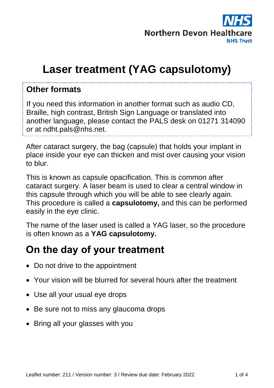

# **Laser treatment (YAG capsulotomy)**

#### **Other formats**

If you need this information in another format such as audio CD, Braille, high contrast, British Sign Language or translated into another language, please contact the PALS desk on 01271 314090 or at ndht.pals@nhs.net.

After cataract surgery, the bag (capsule) that holds your implant in place inside your eye can thicken and mist over causing your vision to blur.

This is known as capsule opacification. This is common after cataract surgery. A laser beam is used to clear a central window in this capsule through which you will be able to see clearly again. This procedure is called a **capsulotomy,** and this can be performed easily in the eye clinic.

The name of the laser used is called a YAG laser, so the procedure is often known as a **YAG capsulotomy.**

#### **On the day of your treatment**

- Do not drive to the appointment
- Your vision will be blurred for several hours after the treatment
- Use all your usual eye drops
- Be sure not to miss any glaucoma drops
- Bring all your glasses with you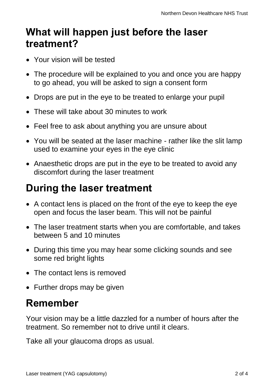## **What will happen just before the laser treatment?**

- Your vision will be tested
- The procedure will be explained to you and once you are happy to go ahead, you will be asked to sign a consent form
- Drops are put in the eye to be treated to enlarge your pupil
- These will take about 30 minutes to work
- Feel free to ask about anything you are unsure about
- You will be seated at the laser machine rather like the slit lamp used to examine your eyes in the eye clinic
- Anaesthetic drops are put in the eve to be treated to avoid any discomfort during the laser treatment

## **During the laser treatment**

- A contact lens is placed on the front of the eye to keep the eye open and focus the laser beam. This will not be painful
- The laser treatment starts when you are comfortable, and takes between 5 and 10 minutes
- During this time you may hear some clicking sounds and see some red bright lights
- The contact lens is removed
- Further drops may be given

### **Remember**

Your vision may be a little dazzled for a number of hours after the treatment. So remember not to drive until it clears.

Take all your glaucoma drops as usual.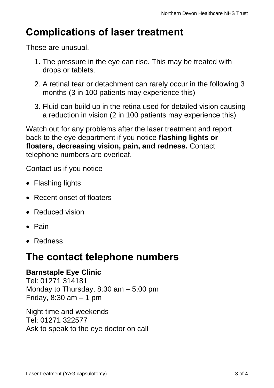## **Complications of laser treatment**

These are unusual.

- 1. The pressure in the eye can rise. This may be treated with drops or tablets.
- 2. A retinal tear or detachment can rarely occur in the following 3 months (3 in 100 patients may experience this)
- 3. Fluid can build up in the retina used for detailed vision causing a reduction in vision (2 in 100 patients may experience this)

Watch out for any problems after the laser treatment and report back to the eye department if you notice **flashing lights or floaters, decreasing vision, pain, and redness.** Contact telephone numbers are overleaf.

Contact us if you notice

- Flashing lights
- Recent onset of floaters
- Reduced vision
- $\bullet$  Pain
- Redness

### **The contact telephone numbers**

#### **Barnstaple Eye Clinic**

Tel: 01271 314181 Monday to Thursday, 8:30 am – 5:00 pm Friday,  $8:30$  am  $-1$  pm

Night time and weekends Tel: 01271 322577 Ask to speak to the eye doctor on call